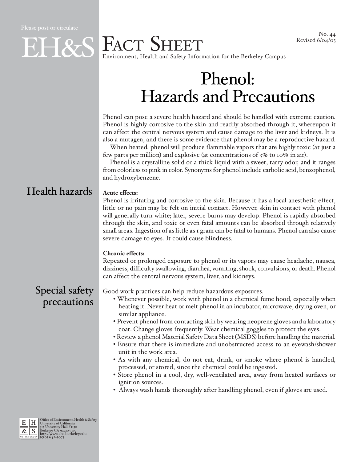## EHES FACT SHEET Environment, Health and Safety Information for the Berkeley Campus

# Phenol: Hazards and Precautions

Phenol can pose a severe health hazard and should be handled with extreme caution. Phenol is highly corrosive to the skin and readily absorbed through it, whereupon it can affect the central nervous system and cause damage to the liver and kidneys. It is also a mutagen, and there is some evidence that phenol may be a reproductive hazard.

When heated, phenol will produce flammable vapors that are highly toxic (at just a few parts per million) and explosive (at concentrations of 3% to 10% in air).

Phenol is a crystalline solid or a thick liquid with a sweet, tarry odor, and it ranges from colorless to pink in color. Synonyms for phenol include carbolic acid, benzophenol, and hydroxybenzene.

## Health hazards

#### **Acute effects:**

Phenol is irritating and corrosive to the skin. Because it has a local anesthetic effect, little or no pain may be felt on initial contact. However, skin in contact with phenol will generally turn white; later, severe burns may develop. Phenol is rapidly absorbed through the skin, and toxic or even fatal amounts can be absorbed through relatively small areas. Ingestion of as little as 1 gram can be fatal to humans. Phenol can also cause severe damage to eyes. It could cause blindness.

#### **Chronic effects:**

Repeated or prolonged exposure to phenol or its vapors may cause headache, nausea, dizziness, difficulty swallowing, diarrhea, vomiting, shock, convulsions, or death. Phenol can affect the central nervous system, liver, and kidneys.

## Special safety precautions

Good work practices can help reduce hazardous exposures.

- Whenever possible, work with phenol in a chemical fume hood, especially when heating it. Never heat or melt phenol in an incubator, microwave, drying oven, or similar appliance.
- Prevent phenol from contacting skin by wearing neoprene gloves and a laboratory coat. Change gloves frequently. Wear chemical goggles to protect the eyes.
- Review a phenol Material Safety Data Sheet (MSDS) before handling the material.
- Ensure that there is immediate and unobstructed access to an eyewash/shower unit in the work area.
- As with any chemical, do not eat, drink, or smoke where phenol is handled, processed, or stored, since the chemical could be ingested.
- Store phenol in a cool, dry, well-ventilated area, away from heated surfaces or ignition sources.
- Always wash hands thoroughly after handling phenol, even if gloves are used.